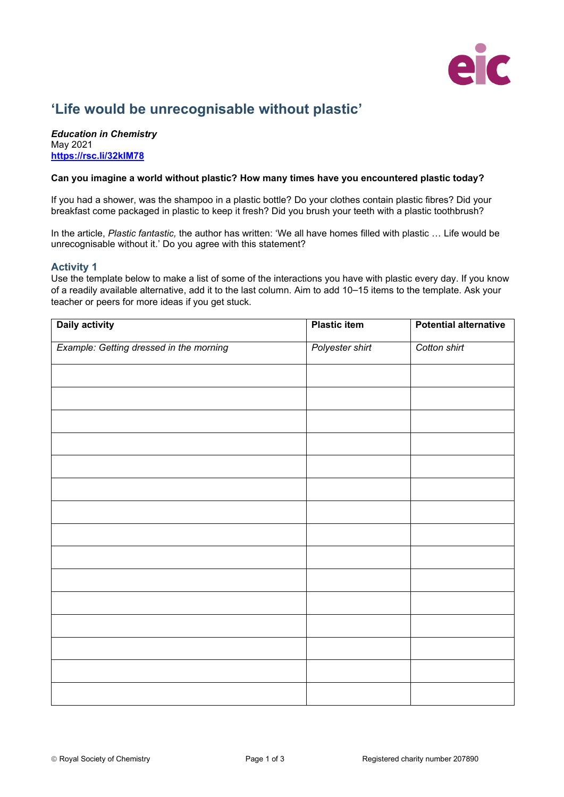

# **'Life would be unrecognisable without plastic'**

*Education in Chemistry* May 2021 **<https://rsc.li/32kIM78>**

#### **Can you imagine a world without plastic? How many times have you encountered plastic today?**

If you had a shower, was the shampoo in a plastic bottle? Do your clothes contain plastic fibres? Did your breakfast come packaged in plastic to keep it fresh? Did you brush your teeth with a plastic toothbrush?

In the article, *Plastic fantastic,* the author has written: 'We all have homes filled with plastic … Life would be unrecognisable without it.' Do you agree with this statement?

### **Activity 1**

Use the template below to make a list of some of the interactions you have with plastic every day. If you know of a readily available alternative, add it to the last column. Aim to add 10–15 items to the template. Ask your teacher or peers for more ideas if you get stuck.

| <b>Daily activity</b>                   | <b>Plastic item</b> | <b>Potential alternative</b> |
|-----------------------------------------|---------------------|------------------------------|
| Example: Getting dressed in the morning | Polyester shirt     | Cotton shirt                 |
|                                         |                     |                              |
|                                         |                     |                              |
|                                         |                     |                              |
|                                         |                     |                              |
|                                         |                     |                              |
|                                         |                     |                              |
|                                         |                     |                              |
|                                         |                     |                              |
|                                         |                     |                              |
|                                         |                     |                              |
|                                         |                     |                              |
|                                         |                     |                              |
|                                         |                     |                              |
|                                         |                     |                              |
|                                         |                     |                              |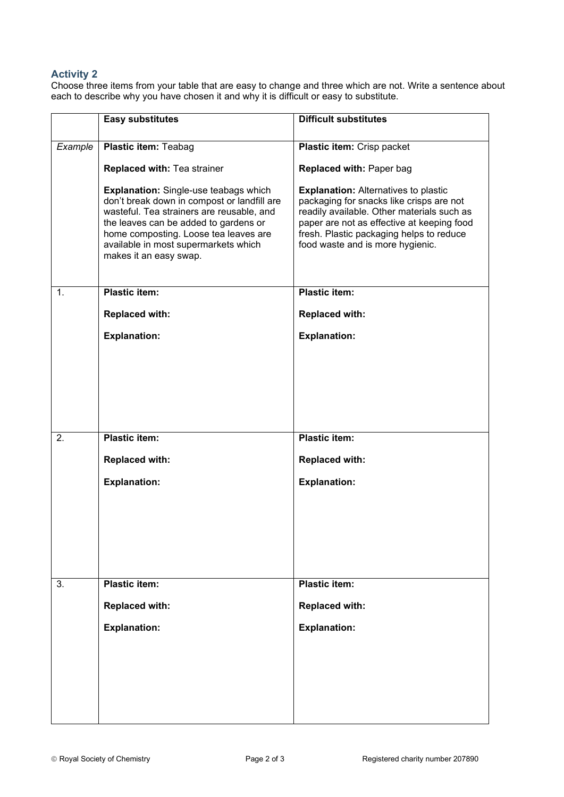## **Activity 2**

Choose three items from your table that are easy to change and three which are not. Write a sentence about each to describe why you have chosen it and why it is difficult or easy to substitute.

|         | <b>Easy substitutes</b>                                                                                                                                                                                                                                                                      | <b>Difficult substitutes</b>                                                                                                                                                                                                                                        |
|---------|----------------------------------------------------------------------------------------------------------------------------------------------------------------------------------------------------------------------------------------------------------------------------------------------|---------------------------------------------------------------------------------------------------------------------------------------------------------------------------------------------------------------------------------------------------------------------|
| Example | <b>Plastic item: Teabag</b>                                                                                                                                                                                                                                                                  | Plastic item: Crisp packet                                                                                                                                                                                                                                          |
|         | <b>Replaced with: Tea strainer</b>                                                                                                                                                                                                                                                           | <b>Replaced with: Paper bag</b>                                                                                                                                                                                                                                     |
|         | <b>Explanation:</b> Single-use teabags which<br>don't break down in compost or landfill are<br>wasteful. Tea strainers are reusable, and<br>the leaves can be added to gardens or<br>home composting. Loose tea leaves are<br>available in most supermarkets which<br>makes it an easy swap. | <b>Explanation: Alternatives to plastic</b><br>packaging for snacks like crisps are not<br>readily available. Other materials such as<br>paper are not as effective at keeping food<br>fresh. Plastic packaging helps to reduce<br>food waste and is more hygienic. |
| 1.      | <b>Plastic item:</b>                                                                                                                                                                                                                                                                         | <b>Plastic item:</b>                                                                                                                                                                                                                                                |
|         | <b>Replaced with:</b>                                                                                                                                                                                                                                                                        | <b>Replaced with:</b>                                                                                                                                                                                                                                               |
|         | <b>Explanation:</b>                                                                                                                                                                                                                                                                          | <b>Explanation:</b>                                                                                                                                                                                                                                                 |
|         |                                                                                                                                                                                                                                                                                              |                                                                                                                                                                                                                                                                     |
| 2.      | <b>Plastic item:</b>                                                                                                                                                                                                                                                                         | <b>Plastic item:</b>                                                                                                                                                                                                                                                |
|         | <b>Replaced with:</b>                                                                                                                                                                                                                                                                        | <b>Replaced with:</b>                                                                                                                                                                                                                                               |
|         | <b>Explanation:</b>                                                                                                                                                                                                                                                                          | <b>Explanation:</b>                                                                                                                                                                                                                                                 |
|         |                                                                                                                                                                                                                                                                                              |                                                                                                                                                                                                                                                                     |
| 3.      | <b>Plastic item:</b>                                                                                                                                                                                                                                                                         | <b>Plastic item:</b>                                                                                                                                                                                                                                                |
|         | <b>Replaced with:</b>                                                                                                                                                                                                                                                                        | <b>Replaced with:</b>                                                                                                                                                                                                                                               |
|         | <b>Explanation:</b>                                                                                                                                                                                                                                                                          | <b>Explanation:</b>                                                                                                                                                                                                                                                 |
|         |                                                                                                                                                                                                                                                                                              |                                                                                                                                                                                                                                                                     |